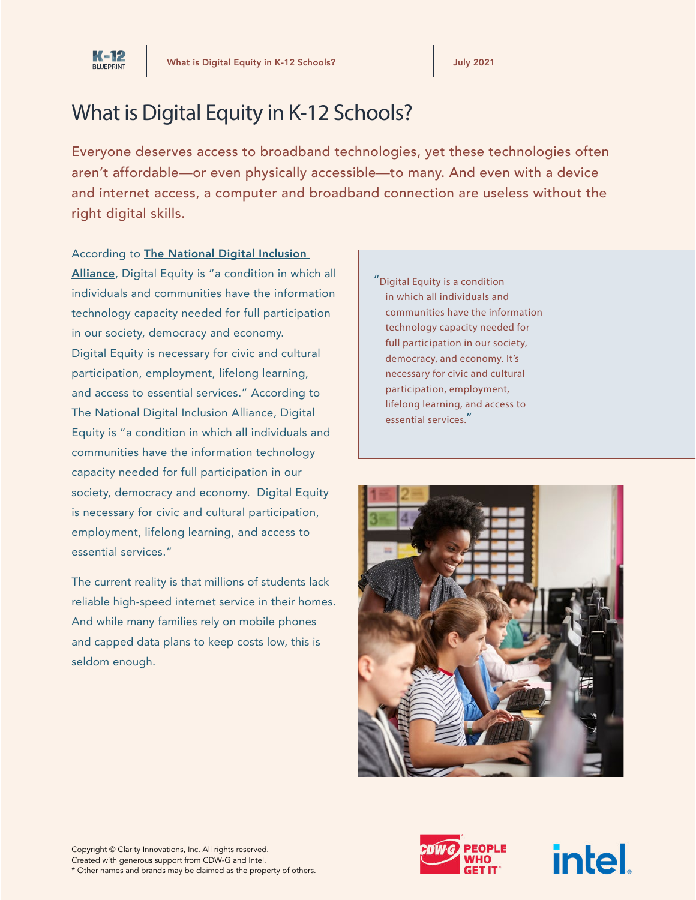

# What is Digital Equity in K-12 Schools?

Everyone deserves access to broadband technologies, yet these technologies often aren't affordable—or even physically accessible—to many. And even with a device and internet access, a computer and broadband connection are useless without the right digital skills.

#### According to [The National Digital Inclusion](https://www.digitalinclusion.org/)

[Alliance](https://www.digitalinclusion.org/), Digital Equity is "a condition in which all individuals and communities have the information technology capacity needed for full participation in our society, democracy and economy. Digital Equity is necessary for civic and cultural participation, employment, lifelong learning, and access to essential services." According to The National Digital Inclusion Alliance, Digital Equity is "a condition in which all individuals and communities have the information technology capacity needed for full participation in our society, democracy and economy. Digital Equity is necessary for civic and cultural participation, employment, lifelong learning, and access to essential services."

The current reality is that millions of students lack reliable high-speed internet service in their homes. And while many families rely on mobile phones and capped data plans to keep costs low, this is seldom enough.

"Digital Equity is a condition in which all individuals and communities have the information technology capacity needed for full participation in our society, democracy, and economy. It's necessary for civic and cultural participation, employment, lifelong learning, and access to essential services."





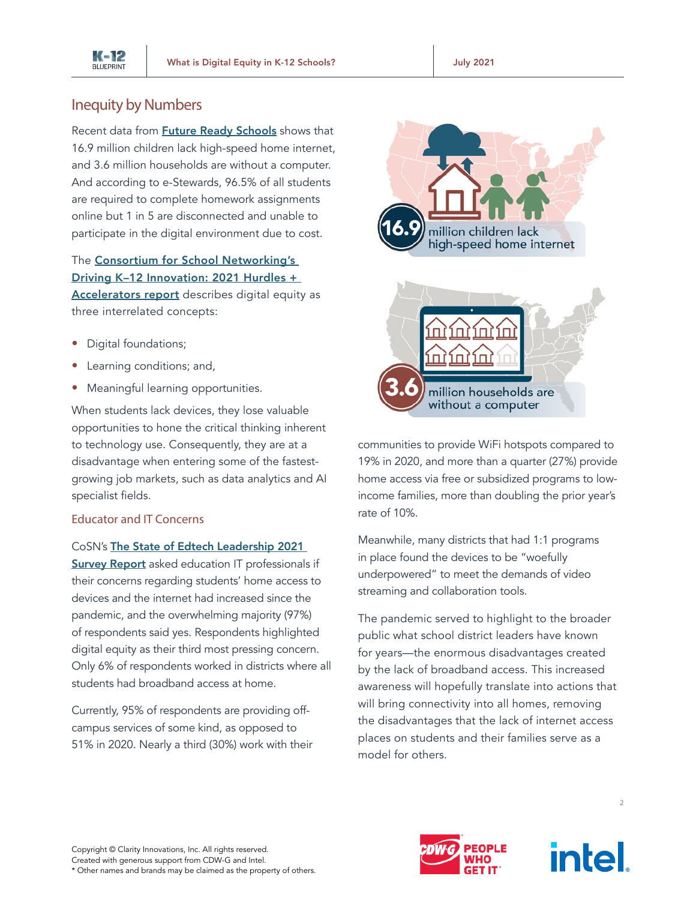

## Inequity by Numbers

Recent data from **[Future Ready Schools](https://futureready.org/homework-gap/)** shows that 16.9 million children lack high-speed home internet, and 3.6 million households are without a computer. And according to e-Stewards, 96.5% of all students are required to complete homework assignments online but 1 in 5 are disconnected and unable to participate in the digital environment due to cost.

#### The [Consortium for School Networking's](https://cosn.org/k12innovation)  [Driving K–12 Innovation: 2021 Hurdles +](https://cosn.org/k12innovation)

[Accelerators report](https://cosn.org/k12innovation) describes digital equity as three interrelated concepts:

- Digital foundations;
- Learning conditions; and,
- Meaningful learning opportunities.

When students lack devices, they lose valuable opportunities to hone the critical thinking inherent to technology use. Consequently, they are at a disadvantage when entering some of the fastestgrowing job markets, such as data analytics and AI specialist fields.

### Educator and IT Concerns

#### CoSN's [The State of Edtech Leadership 2021](https://www.cosn.org/focus-areas/leadership-vision/state-edtech-leadership)

**[Survey Report](https://www.cosn.org/focus-areas/leadership-vision/state-edtech-leadership)** asked education IT professionals if their concerns regarding students' home access to devices and the internet had increased since the pandemic, and the overwhelming majority (97%) of respondents said yes. Respondents highlighted digital equity as their third most pressing concern. Only 6% of respondents worked in districts where all students had broadband access at home.

Currently, 95% of respondents are providing offcampus services of some kind, as opposed to 51% in 2020. Nearly a third (30%) work with their



communities to provide WiFi hotspots compared to 19% in 2020, and more than a quarter (27%) provide home access via free or subsidized programs to lowincome families, more than doubling the prior year's rate of 10%.

Meanwhile, many districts that had 1:1 programs in place found the devices to be "woefully underpowered" to meet the demands of video streaming and collaboration tools.

The pandemic served to highlight to the broader public what school district leaders have known for years—the enormous disadvantages created by the lack of broadband access. This increased awareness will hopefully translate into actions that will bring connectivity into all homes, removing the disadvantages that the lack of internet access places on students and their families serve as a model for others.





 $\overline{2}$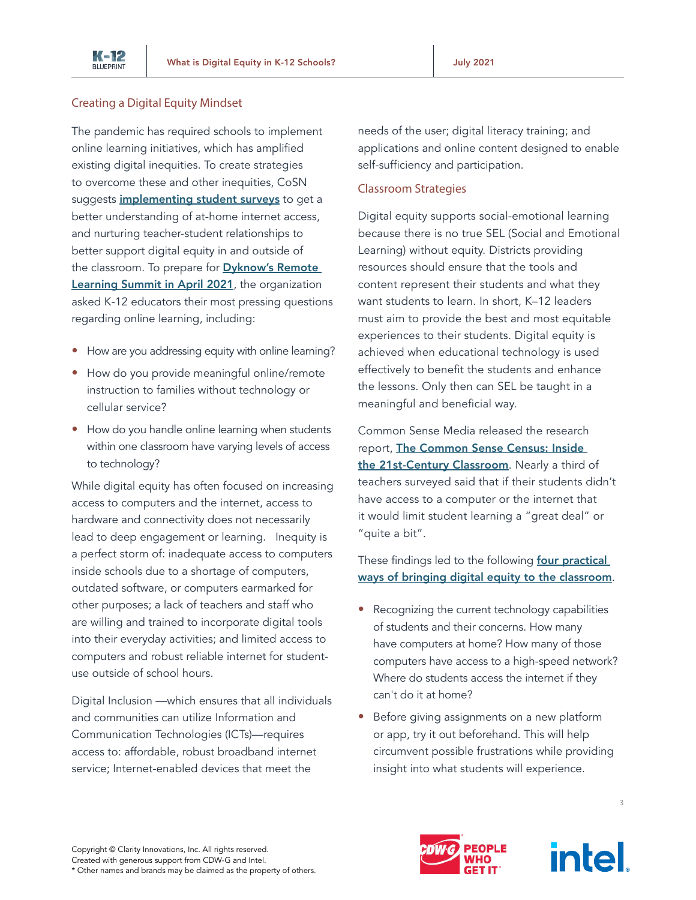

#### Creating a Digital Equity Mindset

The pandemic has required schools to implement online learning initiatives, which has amplified existing digital inequities. To create strategies to overcome these and other inequities, CoSN suggests *[implementing student surveys](https://www.cosn.org/digitalequity)* to get a better understanding of at-home internet access, and nurturing teacher-student relationships to better support digital equity in and outside of the classroom. To prepare for **Dyknow's Remote** [Learning Summit in April 2021](https://www.dyknow.com/technology-coaching-conference/2020-remote-learning-summit/), the organization asked K-12 educators their most pressing questions regarding online learning, including:

- How are you addressing equity with online learning?
- How do you provide meaningful online/remote instruction to families without technology or cellular service?
- How do you handle online learning when students within one classroom have varying levels of access to technology?

While digital equity has often focused on increasing access to computers and the internet, access to hardware and connectivity does not necessarily lead to deep engagement or learning. Inequity is a perfect storm of: inadequate access to computers inside schools due to a shortage of computers, outdated software, or computers earmarked for other purposes; a lack of teachers and staff who are willing and trained to incorporate digital tools into their everyday activities; and limited access to computers and robust reliable internet for studentuse outside of school hours.

Digital Inclusion —which ensures that all individuals and communities can utilize Information and Communication Technologies (ICTs)—requires access to: affordable, robust broadband internet service; Internet-enabled devices that meet the

needs of the user; digital literacy training; and applications and online content designed to enable self-sufficiency and participation.

#### Classroom Strategies

Digital equity supports social-emotional learning because there is no true SEL (Social and Emotional Learning) without equity. Districts providing resources should ensure that the tools and content represent their students and what they want students to learn. In short, K–12 leaders must aim to provide the best and most equitable experiences to their students. Digital equity is achieved when educational technology is used effectively to benefit the students and enhance the lessons. Only then can SEL be taught in a meaningful and beneficial way.

Common Sense Media released the research report, [The Common Sense Census: Inside](https://www.commonsensemedia.org/research/the-common-sense-census-inside-the-21st-century-classroom-2019)  [the 21st-Century Classroom](https://www.commonsensemedia.org/research/the-common-sense-census-inside-the-21st-century-classroom-2019). Nearly a third of teachers surveyed said that if their students didn't have access to a computer or the internet that it would limit student learning a "great deal" or "quite a bit".

These findings led to the following **four practical** [ways of bringing digital equity to the classroom](https://www.commonsense.org/education/articles/4-ways-to-improve-digital-equity-in-your-classroom).

- Recognizing the current technology capabilities of students and their concerns. How many have computers at home? How many of those computers have access to a high-speed network? Where do students access the internet if they can't do it at home?
- Before giving assignments on a new platform or app, try it out beforehand. This will help circumvent possible frustrations while providing insight into what students will experience.